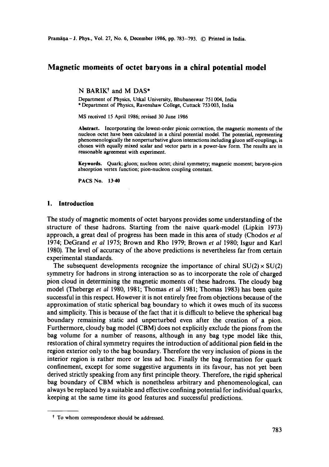Pramāņa - J. Phys., Vol. 27, No. 6, December 1986, pp. 783-793. © Printed in India.

# **Magnetic moments of octet baryons in a chiral potential model**

N BARIK<sup>†</sup> and M DAS\*

Department of Physics, Utkal University, Bhubaneswar 751 004, India \* Department of Physics, Ravenshaw College, Cuttack 753003, India

MS received 15 April 1986; revised 30 June 1986

Abstract. Incorporating the lowest-order pionic correction, the magnetic moments of **the**  nucleon octet have been calculated in a chiral potential model. The potential, representing phenomenologicaUy the nonperturbative gluon interactions including gluon self-couplings, is chosen with equally mixed scalar and vector parts in a power-law form. The results are in reasonable agreement with experiment.

Keywords. Quark; gluon; nucleon octet; chiral symmetry; magnetic moment; baryon-pion absorption vertex function; pion-nucleon coupling constant.

**PACS No. 13-40** 

#### **1. Introduction**

The study of magnetic moments of octet baryons provides some understanding of the structure of these hadrons. Starting from the naive quark-model (Lipkin 1973) approach, a great deal of progress has been made in this area of study (Chodos *et al*  1974; DeGrand *et al* 1975; Brown and Rho 1979; Brown *et al* 1980; Isgur and Karl 1980). The level of accuracy of the above predictions is nevertheless far from certain experimental standards.

The subsequent developments recognize the importance of chiral  $SU(2) \times SU(2)$ symmetry for hadrons in strong interaction so as to incorporate the role of charged pion cloud in determining the magnetic moments of these hadrons. The cloudy bag model (Theberge *et al* 1980, 1981; Thomas *et al* 1981; Thomas 1983) has been quite successful in this respect. However it is not entirely free from objections because of the approximation of static spherical bag boundary to which it owes much of its success and simplicity. This is because of the fact that it is difficult to believe the spherical bag boundary remaining static and unperturbed even after the creation of a pion. Furthermore, cloudy bag model (CBM) does not explicitly exclude the pions from the bag volume for a number of reasons, although in any bag type model like this, restoration of chiral symmetry requires the introduction of additional pion field in the region exterior only to the bag boundary. Therefore the very inclusion of pions in the interior region is rather more or less ad hoc. Finally the bag formation for quark confinement, except for some suggestive arguments in its favour, has not yet been derived strictly speaking from any first principle theory. Therefore, the rigid spherical bag boundary of CBM which is nonetheless arbitrary and phenomenological, can always be replaced by a suitable and effective confining potential for individual quarks, keeping at the same time its good features and successful predictions.

t To whom correspondence should be addressed.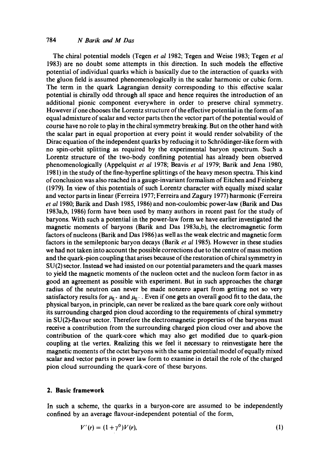## 784 *N Barik and M Das*

The chiral potential models (Tegen *et al* 1982; Tegen and Weise 1983; Tegen *et al*  1983) are no doubt some attempts in this direction. In such models the effective potential of individual quarks which is basically due to the interaction of quarks with the gluon field is assumed phenomenologically in the scalar harmonic or cubic form. The term in the quark Lagrangian density corresponding to this effective scalar potential is chirally odd through all space and hence requires the introduction of an additional pionic component everywhere in order to preserve chiral symmetry. However if one chooses the Lorentz structure of the effective potential in the form of an equal admixture of scalar and vector parts then the vector part of the potential would of course have no role to play in the chiral symmetry breaking. But on the other hand with the scalar part in equal proportion at every point it would render solvability of the Dirac equation of the independent quarks by reducing it to Schrödinger-like form with no spin-orbit splitting as required by the experimental baryon spectrum. Such a Lorentz structure of the two-body confining potential has already been observed phenomenologically (Appelquist *et al* 1978; Beavis *et al* 1979; Barik and Jena 1980, 1981) in the study of the fine-hyperfine splittings of the heavy meson spectra. This kind ofconclusion was also reached in a gauge-invariant formalism of Eitchen and Feinberg (1979). In view of this potentials of such Lorentz character with equally mixed scalar and vector parts in linear (Ferreira 1977; Ferreira and Zagury 1977) harmonic (Ferreira *et al* 1980; Barik and Dash 1985, 1986) and non-coulombic power-law (Barik and Das 1983a,b, 1986) form have been used by many authors in recent past for the study of baryons. With such a potential in the power-law form we have earlier investigated the magnetic moments of baryons (Barik and Das 1983a,b), the electromagnetic form factors of nucleons (Barik and Das 1986) as well as the weak electric and magnetic form factors in the semileptonic baryon decays (Barik *et al* 1985). However in these studies we had not taken into account the possible corrections due to the centre of mass motion and the quark-pion coupling that arises because of the restoration ofchiral symmetry in SU(2) sector. Instead we had insisted on our potential parameters and the quark masses to yield the magnetic moments of the nucleon octet and the nucleon form factor in as good an agreement as possible with experiment. But in such approaches the charge radius of the neutron can never be made nonzero apart from getting not so very satisfactory results for  $\mu_{r}$  and  $\mu_{s}$ . Even if one gets an overall good fit to the data, the physical baryon, in principle, can never be realized as the bare quark core only without its surrounding charged pion cloud according to the requirements of chiral symmetry in SU(2)-flavour sector. Therefore the electromagnetic properties of the baryons must receive a contribution from the surrounding charged pion cloud over and above the contribution of the quark-core which may also get modified due to quark-pion coupling at the vertex. Realizing this we feel it necessary to reinvestigate here the magnetic moments of the octet baryons with the same potential model of equally mixed scalar and vector parts in power law form to examine in detail the role of the charged pion cloud surrounding the quark-core of these baryons.

## **2. Basic framework**

In such a scheme, the quarks in a baryon-core are assumed to be independently confined by an average flavour-independent potential of the form,

$$
V'(r) = (1 + \gamma^0)V(r),
$$
 (1)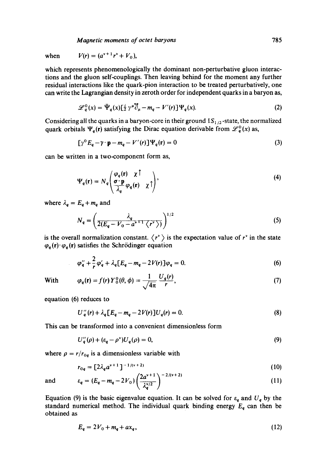*Magnetic moments of octet baryons* 785

when  $V(r) = (a^{v+1}r^v + V_0),$ 

which represents phenomenologically the dominant non-perturbative gluon interactions and the gluon self-couplings. Then leaving behind for the moment any further residual interactions like the quark-pion interaction to be treated perturbatively, one can write the Lagrangian density in zeroth order for independent quarks in a baryon as,

$$
\mathscr{L}_q^0(x) = \bar{\Psi}_q(x) \left[\frac{i}{2} \gamma^{\mu} \bar{\partial}_{\mu} - m_q - V'(r)\right] \Psi_q(x). \tag{2}
$$

Considering all the quarks in a baryon-core in their ground  $1S_{1/2}$ -state, the normalized quark orbitals  $\Psi_q(r)$  satisfying the Dirac equation derivable from  $\mathscr{L}_q^0(x)$  as,

$$
[\gamma^0 E_q - \gamma \cdot \mathbf{p} - m_q - V'(r)] \Psi_q(\mathbf{r}) = 0 \tag{3}
$$

can be written in a two-component form as,

$$
\Psi_q(\mathbf{r}) = N_q \left( \frac{\varphi_q(\mathbf{r}) \times \mathbf{r}}{\lambda_q} \varphi_q(\mathbf{r}) \times \mathbf{r} \right), \tag{4}
$$

where  $\lambda_q = E_q + m_q$  and

$$
N_q = \left(\frac{\lambda_q}{2(E_q - V_0 - a^{\nu+1} \langle r^{\nu} \rangle)}\right)^{1/2} \tag{5}
$$

is the overall normalization constant.  $\langle r^* \rangle$  is the expectation value of  $r^*$  in the state  $\varphi_q(\mathbf{r}) \cdot \varphi_q(\mathbf{r})$  satisfies the Schrödinger equation

$$
\varphi_{q}'' + \frac{2}{r} \varphi_{q}' + \lambda_{q} [E_{q} - m_{q} - 2V(r)] \varphi_{q} = 0.
$$
 (6)

With 
$$
\varphi_q(\mathbf{r}) = f(r) Y_0^0(\theta, \phi) = \frac{1}{\sqrt{4\pi}} \frac{U_q(r)}{r}, \qquad (7)
$$

equation (6) reduces to

÷,

$$
U''_q(r) + \lambda_q [E_q - m_q - 2V(r)] U_q(r) = 0.
$$
 (8)

This can be transformed into a convenient dimensionless form

$$
U_q''(\rho) + (\varepsilon_q - \rho^{\nu}) U_q(\rho) = 0, \qquad (9)
$$

where  $\rho = r/r_{0q}$  is a dimensionless variable with

$$
r_{0a} = [2\lambda_a a^{v+1}]^{-1/(v+2)}
$$
 (10)

$$
\mathop{\mathrm{and}}\nolimits
$$

and 
$$
\varepsilon_q = (E_q - m_q - 2V_0) \left( \frac{2a^{\nu+1}}{\lambda_q^{\nu/2}} \right)^{-2/(\nu+2)}
$$
 (11)

Equation (9) is the basic eigenvalue equation. It can be solved for  $\varepsilon_q$  and  $U_q$  by the standard numerical method. The individual quark binding energy  $E_q$  can then be obtained as

$$
E_q = 2V_0 + m_q + ax_q, \t\t(12)
$$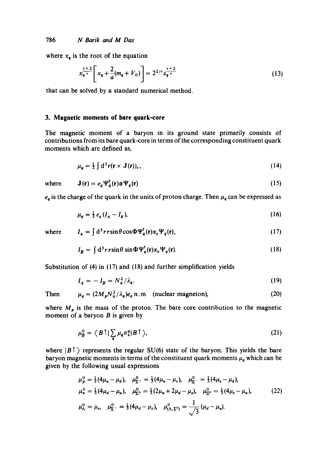where  $x_q$  is the root of the equation

$$
x_{q}^{\frac{v+2}{v}} \left[ x_q + \frac{2}{a} (m_q + V_0) \right] = 2^{2/v} \varepsilon_{q}^{\frac{v+2}{v}} \tag{13}
$$

that can be solved by a standard numerical method.

### **3. Magnetic moments of bare quark-core**

The magnetic moment of a baryon in its ground state primarily consists of contributions from its bare quark-core in terms of the corresponding constituent quark moments which are defined as,

$$
\mu_q = \frac{1}{2} \int d^3 r (\mathbf{r} \times \mathbf{J}(\mathbf{r}))_z, \tag{14}
$$

where

$$
\mathbf{J}(\mathbf{r}) = e_q \mathbf{\Psi}_q^{\mathsf{T}}(\mathbf{r}) \alpha \mathbf{\Psi}_q(\mathbf{r}) \tag{15}
$$

 $e_q$  is the charge of the quark in the units of proton charge. Then  $\mu_q$  can be expressed as

$$
\mu_q = \frac{1}{2} e_q (I_A - I_B), \tag{16}
$$

where 
$$
I_A = \int d^3 r \sin \theta \cos \Phi \Psi_q^{\dagger}(\mathbf{r}) \alpha_y \Psi_q(\mathbf{r}), \qquad (17)
$$

$$
I_B = \int d^3 r \, r \sin \theta \, \sin \Phi \, \Psi_q^{\dagger}(\mathbf{r}) \alpha_x \Psi_q(\mathbf{r}). \tag{18}
$$

Substitution of (4) in (17) and (18) and further simplification yields

$$
I_A = -I_B = N_q^2 / \lambda_q. \tag{19}
$$

**(2O)** 

Then  $\mu_q = (2M_p N_q^2/\lambda_q)e_q$  n.m (nuclear magneton),

Here 
$$
M_{-}
$$
 is the mass of the proton. The bare core contribution to the magnetic

where  $M_p$  is the mass of the proton. The bare core contribution to the magnetic moment of a baryon  $B$  is given by

$$
\mu_B^0 = \langle B \uparrow | \sum_q \mu_q \sigma_z^q | B \uparrow \rangle, \tag{21}
$$

where  $|B|$  represents the regular SU(6) state of the baryon. This yields the bare baryon magnetic moments in terms of the constituent quark moments  $\mu_q$  which can be given by the following usual expressions

$$
\mu_p^0 = \frac{1}{3} (4\mu_u - \mu_d), \quad \mu_{\Sigma^+}^0 = \frac{1}{3} (4\mu_u - \mu_s), \quad \mu_{\Xi^-}^0 = \frac{1}{3} (4\mu_s - \mu_d), \n\mu_n^0 = \frac{1}{3} (4\mu_d - \mu_u), \quad \mu_{\Sigma^0}^0 = \frac{1}{3} (2\mu_u + 2\mu_d - \mu_s), \quad \mu_{\Xi^0}^0 = \frac{1}{3} (4\mu_s - \mu_u), \n\mu_\Lambda^0 = \mu_s, \quad \mu_{\Sigma^-}^0 = \frac{1}{3} (4\mu_d - \mu_s), \quad \mu_{(\Lambda, \Sigma^0)}^0 = \frac{1}{\sqrt{3}} (\mu_d - \mu_u).
$$
\n(22)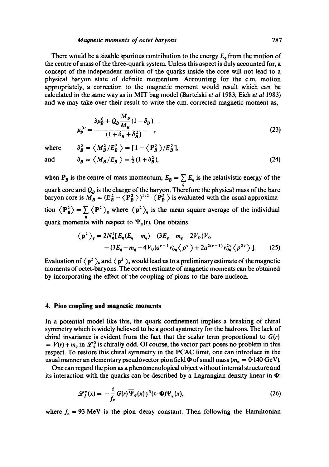#### *Maonetic moments of octet baryons* 787

There would be a sizable spurious contribution to the energy  $E<sub>a</sub>$  from the motion of the centre of mass of the three-quark system. Unless this aspect is duly accounted for, a concept of the independent motion of the quarks inside the core will not lead to a physical baryon state of definite momentum. Accounting for the c.m. motion appropriately, a correction to the magnetic moment would result which can be calculated in the same way as in MIT bag model (Bartelski *et al* 1983; Eich *et al* 1983) and we may take over their result to write the c.m. corrected magnetic moment as,

$$
\mu_B^{0'} = \frac{3\mu_B^0 + Q_B \frac{M_p}{M_B} (1 - \delta_B)}{(1 + \delta_B + \delta_B^2)},
$$
\n(23)

where 
$$
\delta_B^2 = \left\langle M_B^2 / E_B^2 \right\rangle = [1 - \left\langle P_B^2 \right\rangle / E_B^2],
$$
  
and 
$$
\delta_B = \left\langle M_B / E_B \right\rangle = \frac{1}{2} (1 + \delta_B^2),
$$
 (24)

when  $P_B$  is the centre of mass momentum,  $E_B = \sum E_q$  is the relativistic energy of the **q**  quark core and  $Q_B$  is the charge of the baryon. Therefore the physical mass of the bare baryon core is  $M_B = (E_B^2 - \langle \mathbf{P}_B^2 \rangle)^{1/2} \cdot \langle \mathbf{P}_B^2 \rangle$  is evaluated with the usual approximation  $\langle P_{\rm A}^2 \rangle = \sum_{q} \langle P^2 \rangle_q$  where  $\langle P^2 \rangle_q$  is the mean square average of the individual **q**  quark momenta with respect to  $\Psi_q$ (r). One obtains

$$
\langle p^2 \rangle_q = 2N_q^2 [E_q(E_q - m_q) - (3E_q - m_q - 2V_0)V_0 - (3E_q - m_q - 4V_0)a^{\nu+1} r_{0q}^{\nu} \langle \rho^{\nu} \rangle + 2a^{2(\nu+1)} r_{0q}^2 \langle \rho^{2\nu} \rangle].
$$
 (25)

Evaluation of  $\langle p^2 \rangle_u$  and  $\langle p^2 \rangle_s$  would lead us to a preliminary estimate of the magnetic moments of octet-baryons. The correct estimate of magnetic moments can be obtained by incorporating the effect of the coupling of pions to the bare nucleon.

#### **4. Pion coupling and magnetic moments**

In a potential model like this, the quark confinement implies a breaking of chiral symmetry which is widely believed to be a good symmetry for the hadrons. The lack of chiral invariance is evident from the fact that the scalar term proportional to *G(r)*   $V(r) + m_q$  in  $\mathcal{L}_q^0$  is chirally odd. Of course, the vector part poses no problem in this respect. To restore this chiral symmetry in the PCAC limit, one can introduce in the usual manner an elementary pseudovector pion field  $\Phi$  of small mass ( $m_{\pi} = 0.140$  GeV).

One can regard the pion as a phenomenological object without internal structure and its interaction with the quarks can be described by a Lagrangian density linear in  $\Phi$ :

$$
\mathscr{L}_I^{\pi}(x) = -\frac{i}{f_{\pi}} G(r) \overline{\Psi}_q(x) \gamma^5(\tau \cdot \Phi) \Psi_q(x), \qquad (26)
$$

where  $f_{\pi} = 93 \text{ MeV}$  is the pion decay constant. Then following the Hamiltonian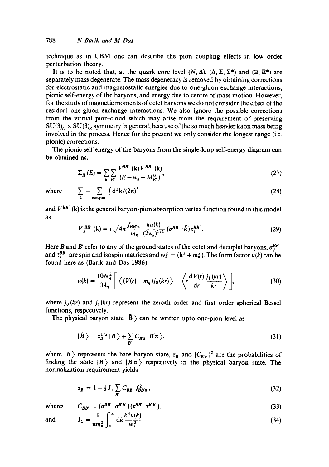technique as in CBM one can describe the pion coupling effects in low order perturbation theory.

It is to be noted that, at the quark core level  $(N, \Delta)$ ,  $(\Delta, \Sigma, \Sigma^*)$  and  $(\Xi, \Xi^*)$  are separately mass degenerate. The mass degeneracy is removed by obtaining corrections for electrostatic and magnetostatic energies due to one-gluon exchange interactions, pionic self-energy of the baryons, and energy due to centre of mass motion. However, for the study of magnetic moments of octet baryons we do not consider the effect of the residual one-gluon exchange interactions. We also ignore the possible corrections from the virtual pion-cloud which may arise from the requirement of preserving  $SU(3)<sub>L</sub> \times SU(3)<sub>R</sub>$  symmetry in general, because of the so much heavier kaon mass being involved in the process. Hence for the present we only consider the longest range (i.e. pionic) corrections.

The pionic self-energy of the baryons from the single-loop self-energy diagram can be obtained as,

$$
\Sigma_B(E) = \sum_{k} \sum_{B'} \frac{V^{BB'}(\mathbf{k}) V^{BB'}(\mathbf{k})}{(E - w_k - M_{B'}^0)},
$$
\n(27)

where 
$$
\sum_{\mathbf{k}} = \sum_{\text{isospin}} \int d^3 \mathbf{k} / (2\pi)^3
$$
 (28)

and  $V^{BB'}$  (k) is the general baryon-pion absorption vertex function found in this model as

$$
V_{j}^{BB'}(\mathbf{k})=i\sqrt{4\pi}\frac{\int_{BB'\pi}}{m_{\pi}}\frac{k u(k)}{(2w_{k})^{1/2}}\left(\sigma^{BB'}\cdot\hat{k}\right)\tau_{j}^{BB'}.
$$
 (29)

Here B and B' refer to any of the ground states of the octet and decuplet baryons,  $\sigma_j^{BB'}$ and  $\tau_i^{BB'}$  are spin and isospin matrices and  $w_k^2 = (\mathbf{k}^2 + m_\pi^2)$ . The form factor  $u(k)$  can be found here as (Barik and Das 1986)

$$
u(k) = \frac{10N_q^2}{3\lambda_q} \Bigg[ \left\langle (V(r) + m_q) j_0(kr) \right\rangle + \left\langle r \frac{\mathrm{d}V(r)}{\mathrm{d}r} \frac{j_1(kr)}{kr} \right\rangle \Bigg], \tag{30}
$$

where  $j_0(kr)$  and  $j_1(kr)$  represent the zeroth order and first order spherical Bessel functions, respectively.

The physical baryon state  $|\tilde{B}\rangle$  can be written upto one-pion level as

$$
|\tilde{B}\rangle = z_B^{1/2} |B\rangle + \sum_{B'} C_{B'\pi} |B'\pi\rangle, \tag{31}
$$

where  $|B\rangle$  represents the bare baryon state,  $z_B$  and  $|C_{B<sub>n</sub>}|^2$  are the probabilities of finding the state  $|B\rangle$  and  $|B'\pi\rangle$  respectively in the physical baryon state. The normalization requirement yields

$$
z_B = 1 - \frac{1}{3} I_1 \sum_B C_{BB} f_{BB\pi}^2 , \qquad (32)
$$

where 
$$
C_{BB'} = (\sigma^{BB} \cdot \sigma^{BB}) (\tau^{BB} \cdot \tau^{BB}),
$$

$$
1 \qquad \qquad \Gamma^{\infty} \qquad k^4 u(k)
$$
 (33)

and 
$$
I_1 = \frac{1}{\pi m_\pi^2} \int_0^\cdot \mathrm{d}k \frac{\kappa u(\kappa)}{w_k^3}.
$$
 (34)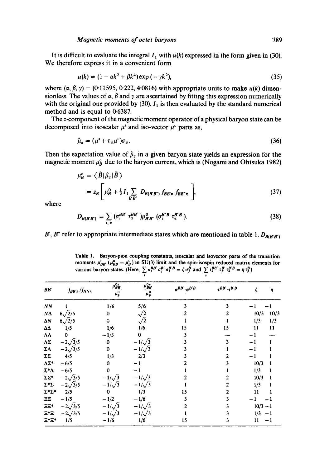It is difficult to evaluate the integral  $I_1$  with  $u(k)$  expressed in the form given in (30). We therefore express it in a convenient form

$$
u(k) = (1 - \alpha k^2 + \beta k^4) \exp(-\gamma k^2),
$$
 (35)

where  $(\alpha, \beta, \gamma) = (0.11595, 0.222, 4.0816)$  with appropriate units to make  $u(k)$  dimensionless. The values of  $\alpha$ ,  $\beta$  and  $\gamma$  are ascertained by fitting this expression numerically with the original one provided by (30).  $I_1$  is then evaluated by the standard numerical method and is equal to  $0.6387$ .

The z-component of the magnetic moment operator of a physical baryon state can be decomposed into isoscalar  $\mu^s$  and iso-vector  $\mu^v$  parts as,

$$
\hat{\mu}_z = (\mu^s + \tau_3 \mu^v) \sigma_3. \tag{36}
$$

Then the expectation value of  $\hat{\mu}_z$  in a given baryon state yields an expression for the magnetic moment  $\mu_B^c$  due to the baryon current, which is (Nogami and Ohtsuka 1982)

$$
\mu_B^c = \langle \tilde{B} | \hat{\mu}_z | \tilde{B} \rangle
$$
  
=  $z_B \left[ \mu_B^0 + \frac{1}{3} I_1 \sum_{B'B'} D_{B(B'B')} f_{B'B'\pi} f_{BB'\pi} \right],$  (37)

where

$$
D_{B(B'B')} = \sum_{i,\,\alpha} \left( \sigma_i^{BB'} \ \tau_a^{BB'} \ \right) \mu_{B'B'}^0 \left( \sigma_i^{B'B} \ \tau_a^{B'B} \ \right). \tag{38}
$$

B', B" refer to appropriate intermediate states which are mentioned in table 1.  $D_{B(B'B')}$ 

**Table 1. Baryon-pion coupling constants, isoscalar and isovector parts of the transition**  moments  $\mu_{\text{BB}}^2$  ( $\mu_{\text{BB}}^2 = \mu_{\text{B}}^2$ ) in SU(3) limit and the spin-isospin reduced matrix elements for various baryon-states. (Here,  $\sum \sigma_i^{p} \sigma_j^{p} \sigma_i^{p} = \zeta \sigma_j^{p}$  and  $\sum \tau_a^{p} \sigma_i^{p} \tau_a^{p} = \eta \tau_b^{p}$ )

| BB'               | $f_{BB'\pi}/f_{NN\pi}$ | $\mu_{BB}^{0}$<br>$\mu_P^0$ | $\mu_{BB}^{0v}$<br>$\mu_p^0$ | $\sigma^{BB} \cdot \sigma^{B'B}$ | $\tau^{BB'}\cdot \tau^{B'B}$ | ξ          | η    |
|-------------------|------------------------|-----------------------------|------------------------------|----------------------------------|------------------------------|------------|------|
| NN                |                        | 1/6                         | 5/6                          |                                  |                              |            |      |
| $N\Delta$         | $6\sqrt{2}/5$          | 0                           | $\sqrt{2}$                   |                                  |                              | 10/3       | 10/3 |
| $\Delta N$        | $6\sqrt{2}/5$          | 0                           | $\sqrt{2}$                   |                                  |                              | 1/3        | 1/3  |
| ΔΔ                | 1/5                    | 1/6                         | 1/6                          | 15                               | 15                           | 11         | 11   |
| ۸۸                | $\mathbf 0$            | $-1/3$                      | 0                            |                                  |                              | $-1$       |      |
| ۸Σ                | $-2\sqrt{3}/5$         | $\bf{0}$                    | $-1/\sqrt{3}$                |                                  |                              | $-1$       |      |
| ΣΛ                | $-2\sqrt{3}/5$         | $\bf{0}$                    | $-1/\sqrt{3}$                |                                  |                              |            |      |
| ΣΣ                | 4/5                    | 1/3                         | 2/3                          |                                  |                              | $-1$       |      |
| $\Lambda\Sigma^*$ | $-6/5$                 | $\bf{0}$                    | -1                           |                                  |                              | 10/3       |      |
| Σ*Λ               | $-6/5$                 | $\pmb{0}$                   | $-1$                         |                                  |                              | 1/3        |      |
| ΣΣ*               | $-2\sqrt{3}/5$         | $-1/\sqrt{3}$               | $-1/\sqrt{3}$                |                                  |                              | 10/3       |      |
| $\Sigma^*\Sigma$  | $-2\sqrt{3}/5$         | $-1/\sqrt{3}$               | $-1/\sqrt{3}$                |                                  |                              | 1/3        |      |
| Σ*Σ*              | 2/5                    | $\bf{0}$                    | 1/3                          | 15                               |                              | 11         |      |
| ΞΞ                | $-1/5$                 | $-1/2$                      | $-1/6$                       |                                  |                              |            |      |
| <b>EE*</b>        | $-2\sqrt{3}/5$         | $-1/\sqrt{3}$               | $-1/\sqrt{3}$                |                                  |                              | $10/3 - 1$ |      |
| Ξ*Ξ               | $-2\sqrt{3}/5$         | $-1/\sqrt{3}$               | $-1/\sqrt{3}$                |                                  |                              | $1/3 - 1$  |      |
| 모*모*              | 1/5                    | $-1/6$                      | 1/6                          | 15                               | 3                            | 11         | $-1$ |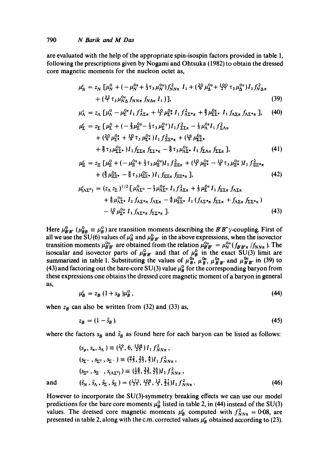are evaluated with the help of the appropriate spin-isospin factors provided in table 1, following the prescriptions given by Nogami and Ohtsuka (1982) to obtain the dressed core magnetic moments for the nucleon octet as,

$$
\mu_N^c = z_N \left[ \mu_N^0 + \left( -\mu_N^{0s} + \frac{1}{3} \tau_3 \mu_N^{0v} \right) f_{NN\pi}^2 I_1 + \left( \frac{20}{9} \mu_\Delta^{0s} + \frac{100}{27} \tau_3 \mu_\Delta^{0v} \right) I_1 f_{N\Delta\pi}^2 + \left( \frac{32}{7} \tau_3 \mu_N^{0v} f_{NN\pi} f_{N\Delta\pi} I_1 \right) \right],
$$
\n(39)

$$
\mu_{\Lambda}^c = z_{\Lambda} \left[ \mu_{\Lambda}^0 - \mu_{\Sigma}^{0s} I_1 f_{\Lambda \Sigma \pi}^2 + \frac{10}{3} \mu_{\Sigma^*}^{0s} I_1 f_{\Lambda \Sigma^* \pi}^2 + \frac{8}{3} \mu_{\Sigma \Sigma^*}^{0s} I_1 f_{\Lambda \Sigma \pi} f_{\Lambda \Sigma^* \pi} \right], \quad (40)
$$

$$
\mu_{\Sigma}^{\epsilon} = z_{\Sigma} \left[ \mu_{\Sigma}^{0} + \left( -\frac{2}{3} \mu_{\Sigma}^{0s} - \frac{1}{3} \tau_{3} \mu_{\Sigma}^{0s} \right) I_{1} f_{\Sigma \Sigma \pi}^{2} - \frac{1}{3} \mu_{\Lambda}^{0s} I_{1} f_{\Sigma \Lambda \pi}^{2} + \left( \frac{20}{9} \mu_{\Sigma}^{0s} + \frac{10}{9} \tau_{3} \mu_{\Sigma}^{0v} \right) I_{1} f_{\Sigma \Sigma^{*} \pi}^{2} + \left( \frac{16}{9} \mu_{\Sigma \Sigma^{*}}^{0s} + \frac{8}{9} \tau_{3} \mu_{\Sigma \Sigma^{*}}^{0v} \right) I_{1} f_{\Sigma \Sigma \pi} f_{\Sigma \Sigma^{*} \pi} - \frac{8}{9} \tau_{3} \mu_{\Lambda \Sigma^{*}}^{0v} I_{1} f_{\Sigma \Lambda \pi} f_{\Sigma \Sigma \pi} \right], \tag{41}
$$

$$
\mu_{\Xi} = z_{\Xi} \left[ \mu_{\Xi}^{0} + \left( -\mu_{\Xi}^{0s} + \frac{1}{3} \tau_{3} \mu_{\Xi}^{0v} \right) I_{1} f_{\Xi \Xi \pi}^{2} + \left( \frac{10}{3} \mu_{\Xi}^{0s} - \frac{10}{9} \tau_{3} \mu_{\Xi}^{0v} \right) I_{1} f_{\Xi \Xi^{*} \pi}^{2} + \left( \frac{8}{3} \mu_{\Xi \Xi^{*}}^{0s} - \frac{8}{9} \tau_{3} \mu_{\Xi \Xi^{*}}^{0s} \right) I_{1} f_{\Xi \Xi \pi} f_{\Xi \Xi^{*} \pi} \right], \tag{42}
$$

$$
\mu_{(\Lambda\Sigma^0)}^c = (z_{\Lambda} z_{\Sigma})^{1/2} \left[ \mu_{\Lambda\Sigma^0}^0 - \frac{1}{3} \mu_{\Lambda\Sigma^0}^{0} I_1 f_{\Lambda\Sigma\pi}^2 + \frac{1}{3} \mu_{\Sigma}^{0} I_1 f_{\Sigma\Sigma\pi} f_{\Lambda\Sigma\pi} \right. \\
\left. + \frac{4}{9} \mu_{\Lambda\Sigma^*}^{0} I_1 f_{\Lambda\Sigma^*\pi} f_{\Lambda\Sigma\pi} - \frac{4}{9} \mu_{\Sigma\Sigma^*}^{0} I_1 (f_{\Lambda\Sigma^*\pi} f_{\Sigma\Sigma\pi} + f_{\Lambda\Sigma\pi} f_{\Sigma\Sigma^*\pi}) - \frac{10}{9} \mu_{\Sigma^*}^{0} I_1 f_{\Lambda\Sigma^*\pi} f_{\Sigma\Sigma^*\pi} \right].
$$
\n(43)

Here  $\mu_{BB}^0$  ( $\mu_{BB}^0 \equiv \mu_B^0$ ) are transition moments describing the B'B" y-coupling. First of all we use the SU(6) values of  $\mu^0_B$  and  $\mu^0_{B'B'}$  in the above expressions, when the isovector transition moments  $\mu_{\bf B' B''}^{\rm op}$  are obtained from the relation  $\mu_{\bf B' B''}^{\rm op} = \mu_{\bf N}^{\rm op} (f_{\bf B' B''}, f_{\bf N})$ . The isoscalar and isovector parts of  $\mu_{\rm B}^{\rm o}$  and that of  $\mu_{\rm B}^{\rm o}$  in the exact SU(3) limit are summarized in table 1. Substituting the values of  $\mu_B^{\omega}$ ,  $\mu_{B}^{\omega}$ ,  $\mu_{B}^{\omega}$  and  $\mu_{B^{\omega}}^{\omega}$  in (39) to (43) and factoring out the bare-core SU(3) value  $\mu_B^0$  for the corresponding baryon from these expressions one obtains the dressed core magnetic moment of a baryon in general as,

$$
\mu_B^c = z_B \left(1 + s_B\right) \mu_B^0 \,,\tag{44}
$$

when  $z_B$  can also be written from (32) and (33) as,

$$
z_B = (1 - \tilde{s}_B). \tag{45}
$$

where the factors  $s_B$  and  $\tilde{s}_B$  as found here for each baryon can be listed as follows:

$$
(s_p, s_n, s_A) \equiv \left(\frac{29}{5}, 6, \frac{108}{25}\right) I_1 f_{NN\pi}^2,
$$
  
\n
$$
(s_{\Sigma^+}, s_{\Sigma^0}, s_{\Sigma^-}) \equiv \left(\frac{92}{5}, \frac{36}{5}, \frac{4}{5}\right) I_1 f_{NN\pi}^2,
$$
  
\n
$$
(s_{\Xi^0}, s_{\Xi^-}, s_{(\Lambda\Sigma^0)}) \equiv \left(\frac{18}{25}, \frac{33}{25}, \frac{36}{25}\right) I_1 f_{NN\pi}^2,
$$
  
\nand 
$$
(\tilde{s}_N, \tilde{s}_\Lambda, \tilde{s}_\Sigma, \tilde{s}_\Xi) = \left(\frac{171}{25}, \frac{108}{25}, \frac{12}{5}, \frac{27}{5}\right) I_1 f_{NN\pi}^2.
$$
 (46)

However to incorporate the SU(3)-symmetry breaking effects we can use our model predictions for the bare core moments  $\mu_B^0$  listed in table 2, in (44) instead of the SU(3) values. The dressed core magnetic moments  $\mu_B^c$  computed with  $f_{NN\pi}^2 = 0.08$ , are presented in table 2, along with the c.m. corrected values  $\mu_{B}^{c}$  obtained according to (23).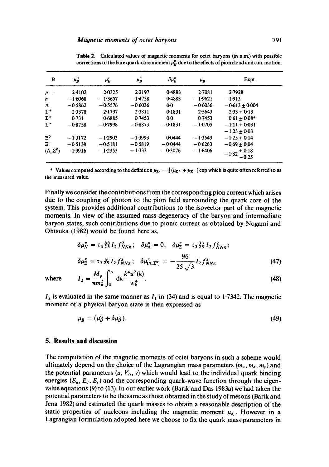| B                     | $\mu_B^0$ | μĥ        | $\mu_B^c$ | $\delta\mu_{\scriptscriptstyle P}^{\scriptscriptstyle\pi}$ | μ <sub>R</sub> | Expt.                     |
|-----------------------|-----------|-----------|-----------|------------------------------------------------------------|----------------|---------------------------|
| p                     | 2.4102    | 2.0325    | 2.2197    | 0.4883                                                     | 2.7081         | 2.7928                    |
| n                     | $-1.6068$ | $-1.3657$ | $-1.4738$ | $-0.4883$                                                  | $-1.9621$      | $-1.913$                  |
| Λ                     | $-0.5862$ | $-0.5576$ | $-0.6036$ | $0-0$                                                      | $-0.6036$      | $-0.613 + 0.004$          |
| $\Sigma^+$            | 2.3378    | 2.1797    | 2.3811    | 0.1831                                                     | 2.5643         | $2.33 + 0.13$             |
| $\Sigma^0$            | 0.731     | 0.6885    | 0.7453    | 0 <sub>0</sub>                                             | 0.7453         | $0.61 + 0.08*$            |
| $\Sigma^-$            | $-0.8758$ | $-0.7998$ | $-0.8873$ | $-0.1831$                                                  | $-1.0705$      | $-1.11 + 0.031$           |
|                       |           |           |           |                                                            |                | $-1.23 + 0.03$            |
| $\Xi^0$               | $-1.3172$ | $-1.2903$ | $-1.3993$ | 0.0444                                                     | $-1.3549$      | $-1.25 + 0.14$            |
| $\Xi^-$               | $-0.5138$ | $-0.5181$ | $-0.5819$ | $-0.0444$                                                  | $-0.6263$      | $-0.69 + 0.04$            |
| $(\Lambda, \Sigma^0)$ | $-1.3916$ | $-1.2353$ | $-1.333$  | $-0.3076$                                                  | $-1.6406$      | $-1.82 + 0.18$<br>$-0.25$ |

Table 2. Calculated values of magnetic moments for octet baryons (in n.m.) with possible corrections to the bare quark-core moment  $\mu_B^0$  due to the effects of pion cloud and c.m. motion.

\* Values computed according to the definition  $\mu_{\Sigma^0} = \frac{1}{2}(\mu_{\Sigma^+} + \mu_{\Sigma^-})$  exp which is quite often referred to as the measured value.

Finally we consider the contributions from the corresponding pion current which arises due to the coupling of photon to the pion field surrounding the quark core of the system. This provides additional contributions to the isovector part of the magnetic moments. In view of the assumed mass degeneracy of the baryon and intermediate baryon states, such contributions due to pionic current as obtained by Nogami and Ohtsuka (1982) would be found here as,

$$
\delta \mu_N^{\pi} = \tau_3 \frac{88}{23} I_2 f_{NN\pi}^2; \quad \delta \mu_\Lambda^{\pi} = 0; \quad \delta \mu_{\Sigma}^{\pi} = \tau_3 \frac{33}{23} I_2 f_{NN\pi}^2; \n\delta \mu_{\Xi}^{\pi} = \tau_3 \frac{8}{23} I_2 f_{NN\pi}^2; \quad \delta \mu_{(\Lambda, \Sigma^0)}^{\pi} = -\frac{96}{25 \sqrt{3}} I_2 f_{NN\pi}^2
$$
\n(47)

where 
$$
I_2 = \frac{M_p}{\pi m_\pi^2} \int_0^\infty dk \frac{k^4 u^2(k)}{w_k^4}.
$$
 (48)

 $I_2$  is evaluated in the same manner as  $I_1$  in (34) and is equal to 1.7342. The magnetic moment of a physical baryon state is then expressed as

 $\mu_B = (\mu_B^c + \delta \mu_B^{\pi}).$  (49)

#### **5. Results and discussion**

The computation of the magnetic moments of octet baryons in such a scheme would ultimately depend on the choice of the Lagrangian mass parameters  $(m_u, m_d, m_s)$  and the potential parameters  $(a, V_0, v)$  which would lead to the individual quark binding energies  $(E_u, E_d, E_s)$  and the corresponding quark-wave function through the eigenvalue equations (9) to (13). In our earlier work (Barik and Das 1983a) we had taken the potential parameters to be the same as those obtained in the study of mesons (Barik and Jena 1982) and estimated the quark masses to obtain a reasonable description of the static properties of nucleons including the magnetic moment  $\mu_{\Lambda}$ . However in a Lagrangian formulation adopted here we choose to fix the quark mass parameters in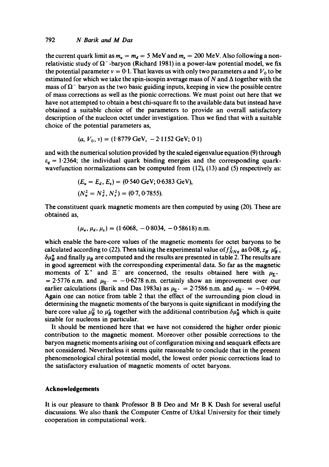the current quark limit as  $m_u = m_d = 5$  MeV and  $m_s = 200$  MeV. Also following a nonrelativistic study of  $\Omega^-$ -baryon (Richard 1981) in a power-law potential model, we fix the potential parameter  $v = 0.1$ . That leaves us with only two parameters a and  $V_0$  to be estimated for which we take the spin-isospin average mass of N and  $\Delta$  together with the mass of  $\Omega^-$  baryon as the two basic guiding inputs, keeping in view the possible centre of mass corrections as well as the pionic corrections. We must point out here that we have not attempted to obtain a best chi-square fit to the available data but instead have obtained a suitable choice of the parameters to provide an overall satisfactory description of the nucleon octet under investigation. Thus we find that with a suitable choice of the potential parameters as,

$$
(a, V_0, v) = (1.8779 \text{ GeV}, -2.1152 \text{ GeV}; 0.1)
$$

and with the numerical solution provided by the scaled eigenvalue equation (9) through  $\varepsilon_q = 1.2364$ ; the individual quark binding energies and the corresponding quarkwavefunction normalizations can be computed from (12), (13) and (5) respectively as:

$$
(E_u = E_d, E_s) = (0.540 \text{ GeV}; 0.6383 \text{ GeV}),
$$
  

$$
(N_u^2 = N_d^2, N_s^2) = (0.7, 0.7855).
$$

The constituent quark magnetic moments are then computed by using (20). These are obtained as,

$$
(\mu_{\mu}, \mu_{d}, \mu_{s}) = (1.6068, -0.8034, -0.58618) \text{ n.m.}
$$

which enable the bare-core values of the magnetic moments for octet baryons to be calculated according to (22). Then taking the experimental value of  $f_{NN\pi}^2$  as 0.08,  $z_{\bf B} \mu_{\bf B}^{c'}$ ,  $\delta \mu_B^2$  and finally  $\mu_B$  are computed and the results are presented in table 2. The results are in good agreement with the corresponding experimental data. So far as the magnetic moments of  $\Sigma^+$  and  $\Sigma^-$  are concerned, the results obtained here with  $\mu_{\Sigma^+}$ . = 2.5776 n.m. and  $\mu_{\Xi^-}$  = -0.6278 n.m. certainly show an improvement over our earlier calculations (Barik and Das 1983a) as  $\mu_{\Sigma^+} = 2.7586$  n.m. and  $\mu_{\Xi^-} = -0.4994$ . Again one can notice from table 2 that the effect of the surrounding pion cloud in determining the magnetic moments of the baryons is quite significant in modifying the bare core value  $\mu_B^0$  to  $\mu_B^c$  together with the additional contribution  $\delta \mu_B^{\pi}$  which is quite sizable for nucleons in particular.

It should be mentioned here that we have not considered the higher order pionic contribution to the magnetic moment. Moreover other possible corrections to the baryon magnetic moments arising out of configuration mixing and seaquark effects are not considered. Nevertheless it seems quite reasonable to conclude that in the present phenomenological chiral potential model, the lowest order pionic corrections lead to the satisfactory evaluation of magnetic moments of octet baryons.

#### **Acknowledgements**

It is our pleasure to thank Professor B B Deo and Mr B K Dash for several useful discussions. We also thank the Computer Centre of Utkal University for their timely cooperation in computational work.